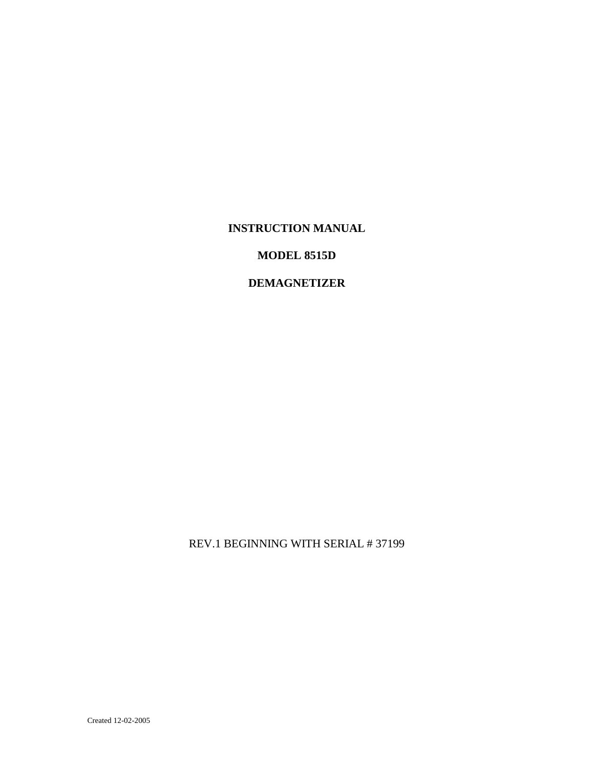### **INSTRUCTION MANUAL**

### **MODEL 8515D**

### **DEMAGNETIZER**

REV.1 BEGINNING WITH SERIAL # 37199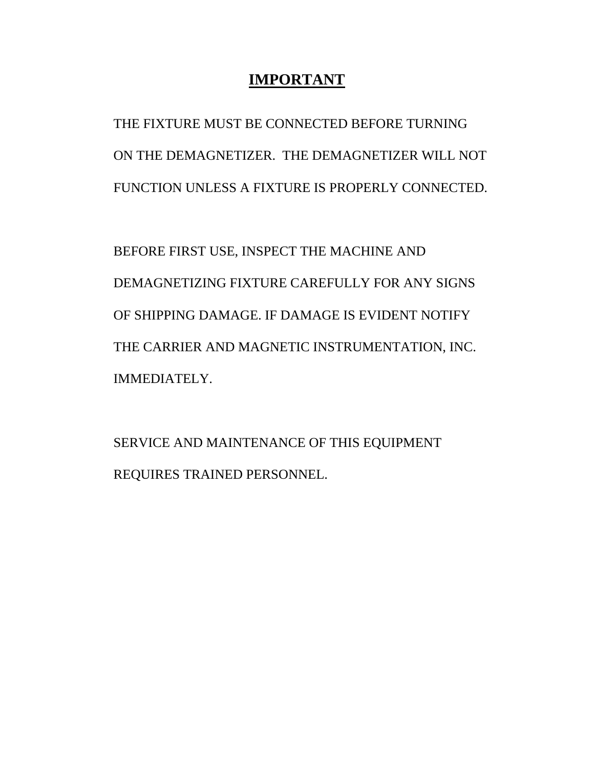## **IMPORTANT**

THE FIXTURE MUST BE CONNECTED BEFORE TURNING ON THE DEMAGNETIZER. THE DEMAGNETIZER WILL NOT FUNCTION UNLESS A FIXTURE IS PROPERLY CONNECTED.

BEFORE FIRST USE, INSPECT THE MACHINE AND DEMAGNETIZING FIXTURE CAREFULLY FOR ANY SIGNS OF SHIPPING DAMAGE. IF DAMAGE IS EVIDENT NOTIFY THE CARRIER AND MAGNETIC INSTRUMENTATION, INC. IMMEDIATELY.

SERVICE AND MAINTENANCE OF THIS EQUIPMENT REQUIRES TRAINED PERSONNEL.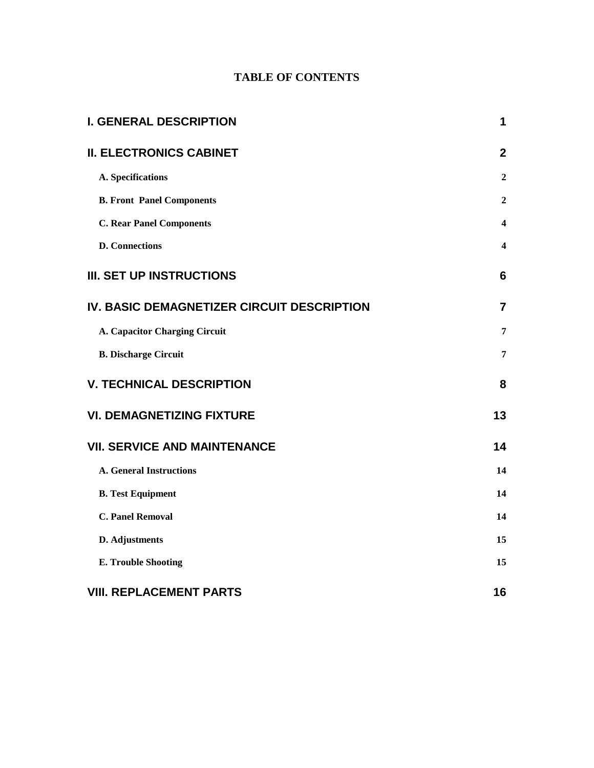## **TABLE OF CONTENTS**

| <b>I. GENERAL DESCRIPTION</b>              | 1                       |
|--------------------------------------------|-------------------------|
| <b>II. ELECTRONICS CABINET</b>             | $\mathbf{2}$            |
| A. Specifications                          | $\boldsymbol{2}$        |
| <b>B. Front Panel Components</b>           | 2                       |
| <b>C. Rear Panel Components</b>            | $\overline{\mathbf{4}}$ |
| <b>D.</b> Connections                      | $\overline{\mathbf{4}}$ |
| <b>III. SET UP INSTRUCTIONS</b>            | 6                       |
| IV. BASIC DEMAGNETIZER CIRCUIT DESCRIPTION | $\overline{7}$          |
| A. Capacitor Charging Circuit              | 7                       |
| <b>B. Discharge Circuit</b>                | 7                       |
| <b>V. TECHNICAL DESCRIPTION</b>            | 8                       |
| <b>VI. DEMAGNETIZING FIXTURE</b>           | 13                      |
| <b>VII. SERVICE AND MAINTENANCE</b>        | 14                      |
| <b>A. General Instructions</b>             | 14                      |
| <b>B.</b> Test Equipment                   | 14                      |
| <b>C. Panel Removal</b>                    | 14                      |
| D. Adjustments                             | 15                      |
| <b>E. Trouble Shooting</b>                 | 15                      |
| <b>VIII. REPLACEMENT PARTS</b>             | 16                      |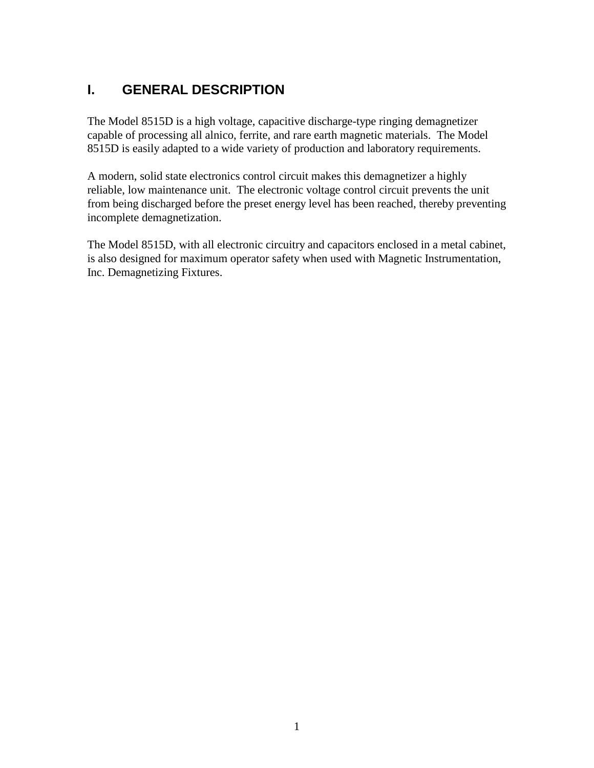# **I. GENERAL DESCRIPTION**

The Model 8515D is a high voltage, capacitive discharge-type ringing demagnetizer capable of processing all alnico, ferrite, and rare earth magnetic materials. The Model 8515D is easily adapted to a wide variety of production and laboratory requirements.

A modern, solid state electronics control circuit makes this demagnetizer a highly reliable, low maintenance unit. The electronic voltage control circuit prevents the unit from being discharged before the preset energy level has been reached, thereby preventing incomplete demagnetization.

The Model 8515D, with all electronic circuitry and capacitors enclosed in a metal cabinet, is also designed for maximum operator safety when used with Magnetic Instrumentation, Inc. Demagnetizing Fixtures.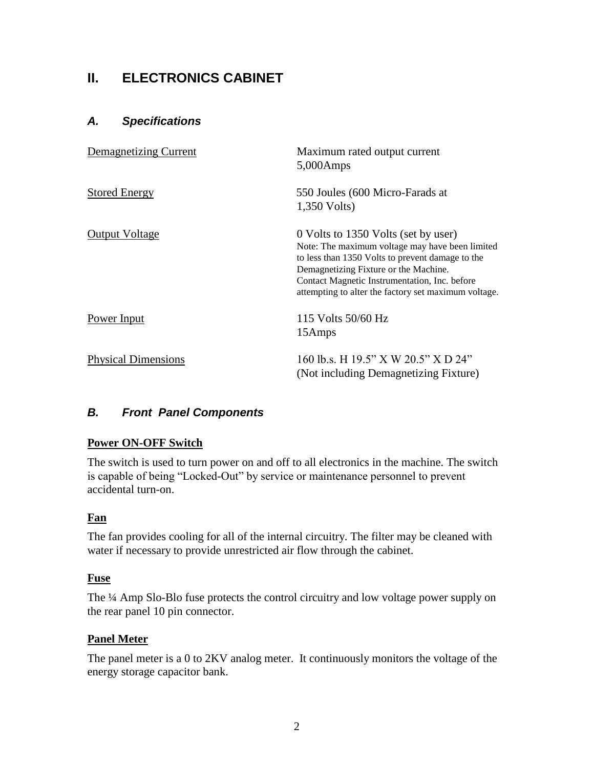# **II. ELECTRONICS CABINET**

### *A. Specifications*

| Demagnetizing Current      | Maximum rated output current<br>$5,000$ Amps                                                                                                                                                                                                                                                 |
|----------------------------|----------------------------------------------------------------------------------------------------------------------------------------------------------------------------------------------------------------------------------------------------------------------------------------------|
| <b>Stored Energy</b>       | 550 Joules (600 Micro-Farads at<br>1,350 Volts)                                                                                                                                                                                                                                              |
| <b>Output Voltage</b>      | 0 Volts to 1350 Volts (set by user)<br>Note: The maximum voltage may have been limited<br>to less than 1350 Volts to prevent damage to the<br>Demagnetizing Fixture or the Machine.<br>Contact Magnetic Instrumentation, Inc. before<br>attempting to alter the factory set maximum voltage. |
| Power Input                | 115 Volts 50/60 Hz<br>15Amps                                                                                                                                                                                                                                                                 |
| <b>Physical Dimensions</b> | 160 lb.s. H 19.5" X W 20.5" X D 24"<br>(Not including Demagnetizing Fixture)                                                                                                                                                                                                                 |

## *B. Front Panel Components*

#### **Power ON-OFF Switch**

The switch is used to turn power on and off to all electronics in the machine. The switch is capable of being "Locked-Out" by service or maintenance personnel to prevent accidental turn-on.

#### **Fan**

The fan provides cooling for all of the internal circuitry. The filter may be cleaned with water if necessary to provide unrestricted air flow through the cabinet.

#### **Fuse**

The ¼ Amp Slo-Blo fuse protects the control circuitry and low voltage power supply on the rear panel 10 pin connector.

#### **Panel Meter**

The panel meter is a 0 to 2KV analog meter. It continuously monitors the voltage of the energy storage capacitor bank.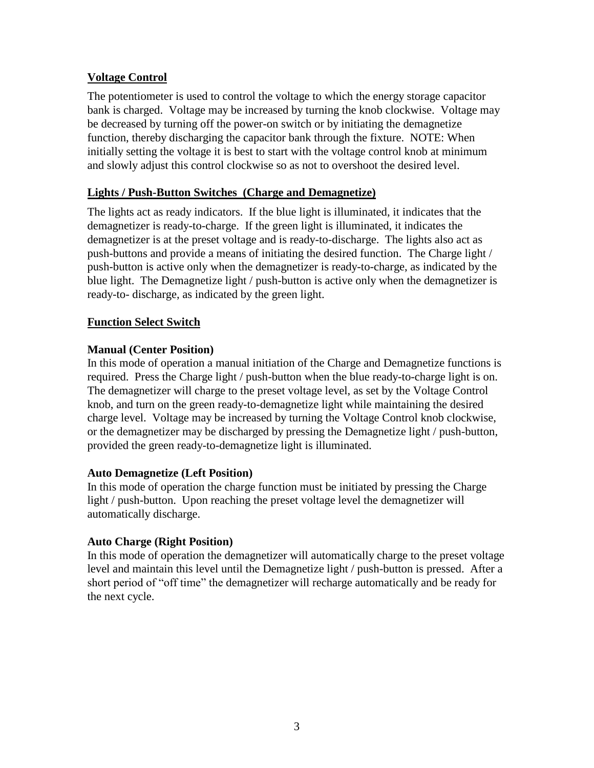### **Voltage Control**

The potentiometer is used to control the voltage to which the energy storage capacitor bank is charged. Voltage may be increased by turning the knob clockwise. Voltage may be decreased by turning off the power-on switch or by initiating the demagnetize function, thereby discharging the capacitor bank through the fixture. NOTE: When initially setting the voltage it is best to start with the voltage control knob at minimum and slowly adjust this control clockwise so as not to overshoot the desired level.

### **Lights / Push-Button Switches (Charge and Demagnetize)**

The lights act as ready indicators. If the blue light is illuminated, it indicates that the demagnetizer is ready-to-charge. If the green light is illuminated, it indicates the demagnetizer is at the preset voltage and is ready-to-discharge. The lights also act as push-buttons and provide a means of initiating the desired function. The Charge light / push-button is active only when the demagnetizer is ready-to-charge, as indicated by the blue light. The Demagnetize light / push-button is active only when the demagnetizer is ready-to- discharge, as indicated by the green light.

### **Function Select Switch**

### **Manual (Center Position)**

In this mode of operation a manual initiation of the Charge and Demagnetize functions is required. Press the Charge light / push-button when the blue ready-to-charge light is on. The demagnetizer will charge to the preset voltage level, as set by the Voltage Control knob, and turn on the green ready-to-demagnetize light while maintaining the desired charge level. Voltage may be increased by turning the Voltage Control knob clockwise, or the demagnetizer may be discharged by pressing the Demagnetize light / push-button, provided the green ready-to-demagnetize light is illuminated.

### **Auto Demagnetize (Left Position)**

In this mode of operation the charge function must be initiated by pressing the Charge light / push-button. Upon reaching the preset voltage level the demagnetizer will automatically discharge.

### **Auto Charge (Right Position)**

In this mode of operation the demagnetizer will automatically charge to the preset voltage level and maintain this level until the Demagnetize light / push-button is pressed. After a short period of "off time" the demagnetizer will recharge automatically and be ready for the next cycle.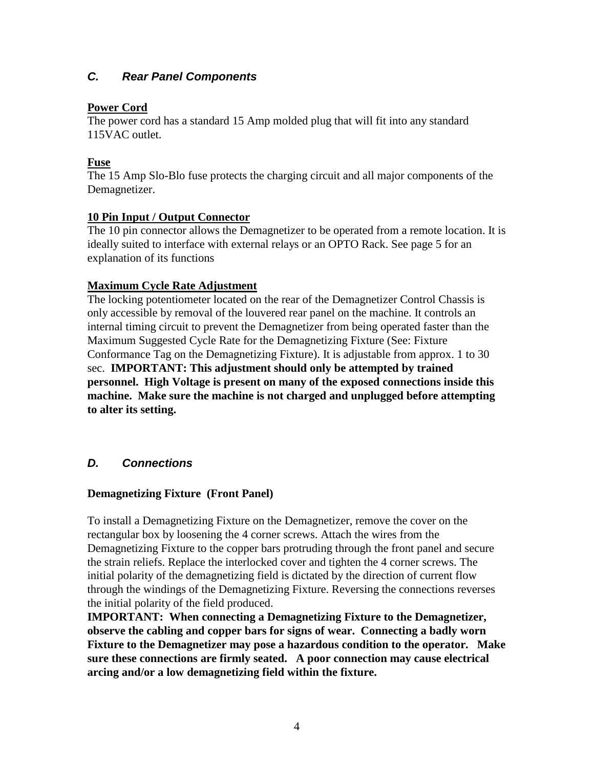## *C. Rear Panel Components*

### **Power Cord**

The power cord has a standard 15 Amp molded plug that will fit into any standard 115VAC outlet.

### **Fuse**

The 15 Amp Slo-Blo fuse protects the charging circuit and all major components of the Demagnetizer.

#### **10 Pin Input / Output Connector**

The 10 pin connector allows the Demagnetizer to be operated from a remote location. It is ideally suited to interface with external relays or an OPTO Rack. See page 5 for an explanation of its functions

#### **Maximum Cycle Rate Adjustment**

The locking potentiometer located on the rear of the Demagnetizer Control Chassis is only accessible by removal of the louvered rear panel on the machine. It controls an internal timing circuit to prevent the Demagnetizer from being operated faster than the Maximum Suggested Cycle Rate for the Demagnetizing Fixture (See: Fixture Conformance Tag on the Demagnetizing Fixture). It is adjustable from approx. 1 to 30 sec. **IMPORTANT: This adjustment should only be attempted by trained personnel. High Voltage is present on many of the exposed connections inside this machine. Make sure the machine is not charged and unplugged before attempting to alter its setting.** 

### *D. Connections*

### **Demagnetizing Fixture (Front Panel)**

To install a Demagnetizing Fixture on the Demagnetizer, remove the cover on the rectangular box by loosening the 4 corner screws. Attach the wires from the Demagnetizing Fixture to the copper bars protruding through the front panel and secure the strain reliefs. Replace the interlocked cover and tighten the 4 corner screws. The initial polarity of the demagnetizing field is dictated by the direction of current flow through the windings of the Demagnetizing Fixture. Reversing the connections reverses the initial polarity of the field produced.

**IMPORTANT: When connecting a Demagnetizing Fixture to the Demagnetizer, observe the cabling and copper bars for signs of wear. Connecting a badly worn Fixture to the Demagnetizer may pose a hazardous condition to the operator. Make sure these connections are firmly seated. A poor connection may cause electrical arcing and/or a low demagnetizing field within the fixture.**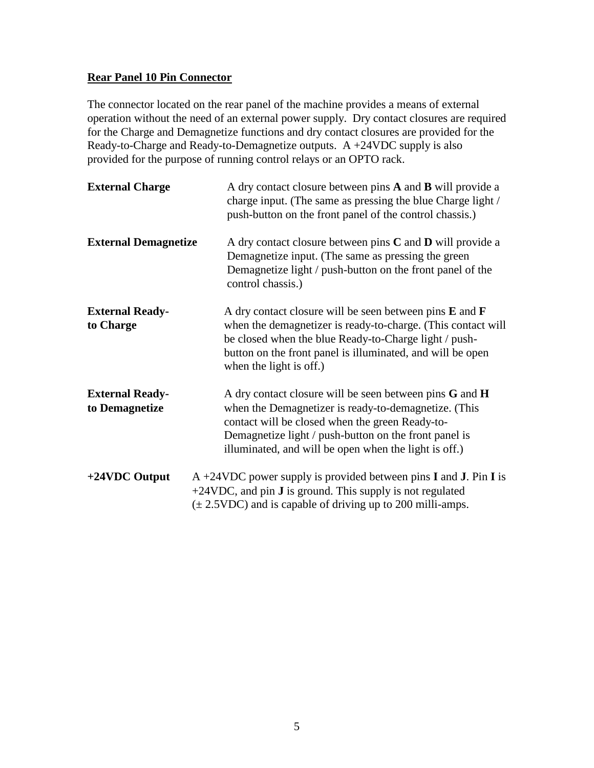### **Rear Panel 10 Pin Connector**

The connector located on the rear panel of the machine provides a means of external operation without the need of an external power supply. Dry contact closures are required for the Charge and Demagnetize functions and dry contact closures are provided for the Ready-to-Charge and Ready-to-Demagnetize outputs. A +24VDC supply is also provided for the purpose of running control relays or an OPTO rack.

| <b>External Charge</b>                   | A dry contact closure between pins <b>A</b> and <b>B</b> will provide a<br>charge input. (The same as pressing the blue Charge light /<br>push-button on the front panel of the control chassis.)                                                                                        |
|------------------------------------------|------------------------------------------------------------------------------------------------------------------------------------------------------------------------------------------------------------------------------------------------------------------------------------------|
| <b>External Demagnetize</b>              | A dry contact closure between pins $C$ and $D$ will provide a<br>Demagnetize input. (The same as pressing the green<br>Demagnetize light / push-button on the front panel of the<br>control chassis.)                                                                                    |
| <b>External Ready-</b><br>to Charge      | A dry contact closure will be seen between pins $E$ and $F$<br>when the demagnetizer is ready-to-charge. (This contact will<br>be closed when the blue Ready-to-Charge light / push-<br>button on the front panel is illuminated, and will be open<br>when the light is off.)            |
| <b>External Ready-</b><br>to Demagnetize | A dry contact closure will be seen between pins $G$ and $H$<br>when the Demagnetizer is ready-to-demagnetize. (This<br>contact will be closed when the green Ready-to-<br>Demagnetize light / push-button on the front panel is<br>illuminated, and will be open when the light is off.) |
| +24VDC Output                            | $A + 24VDC$ power supply is provided between pins <b>I</b> and <b>J</b> . Pin <b>I</b> is<br>+24VDC, and pin <b>J</b> is ground. This supply is not regulated<br>$(\pm 2.5 \text{VDC})$ and is capable of driving up to 200 milli-amps.                                                  |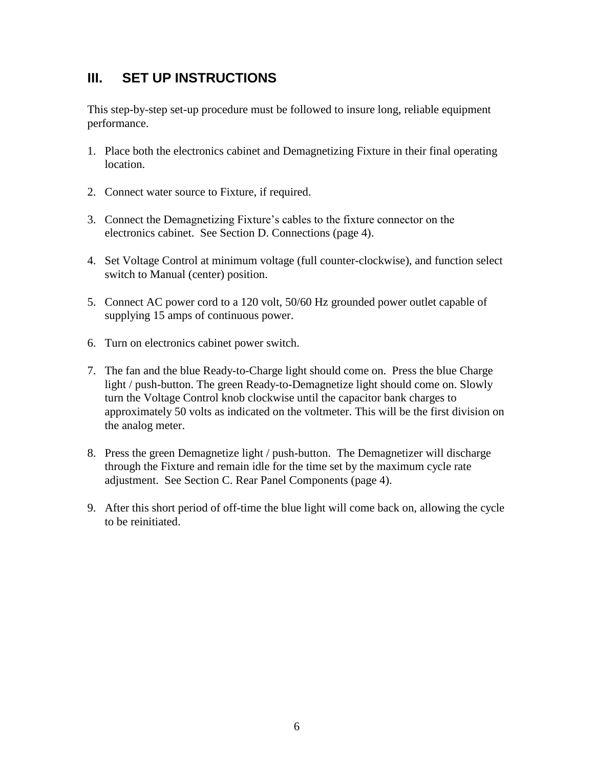# **III. SET UP INSTRUCTIONS**

This step-by-step set-up procedure must be followed to insure long, reliable equipment performance.

- 1. Place both the electronics cabinet and Demagnetizing Fixture in their final operating location.
- 2. Connect water source to Fixture, if required.
- 3. Connect the Demagnetizing Fixture's cables to the fixture connector on the electronics cabinet. See Section D. Connections (page 4).
- 4. Set Voltage Control at minimum voltage (full counter-clockwise), and function select switch to Manual (center) position.
- 5. Connect AC power cord to a 120 volt, 50/60 Hz grounded power outlet capable of supplying 15 amps of continuous power.
- 6. Turn on electronics cabinet power switch.
- 7. The fan and the blue Ready-to-Charge light should come on. Press the blue Charge light / push-button. The green Ready-to-Demagnetize light should come on. Slowly turn the Voltage Control knob clockwise until the capacitor bank charges to approximately 50 volts as indicated on the voltmeter. This will be the first division on the analog meter.
- 8. Press the green Demagnetize light / push-button. The Demagnetizer will discharge through the Fixture and remain idle for the time set by the maximum cycle rate adjustment. See Section C. Rear Panel Components (page 4).
- 9. After this short period of off-time the blue light will come back on, allowing the cycle to be reinitiated.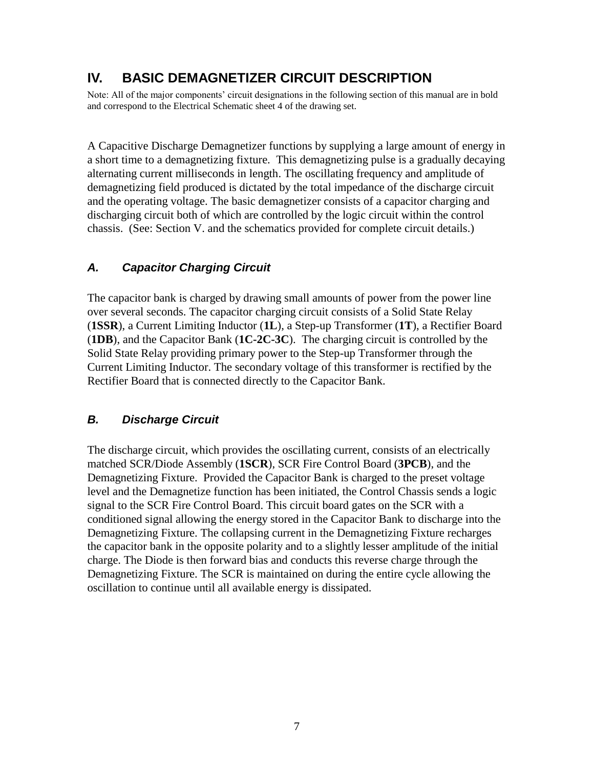# **IV. BASIC DEMAGNETIZER CIRCUIT DESCRIPTION**

Note: All of the major components' circuit designations in the following section of this manual are in bold and correspond to the Electrical Schematic sheet 4 of the drawing set.

A Capacitive Discharge Demagnetizer functions by supplying a large amount of energy in a short time to a demagnetizing fixture. This demagnetizing pulse is a gradually decaying alternating current milliseconds in length. The oscillating frequency and amplitude of demagnetizing field produced is dictated by the total impedance of the discharge circuit and the operating voltage. The basic demagnetizer consists of a capacitor charging and discharging circuit both of which are controlled by the logic circuit within the control chassis. (See: Section V. and the schematics provided for complete circuit details.)

## *A. Capacitor Charging Circuit*

The capacitor bank is charged by drawing small amounts of power from the power line over several seconds. The capacitor charging circuit consists of a Solid State Relay (**1SSR**), a Current Limiting Inductor (**1L**), a Step-up Transformer (**1T**), a Rectifier Board (**1DB**), and the Capacitor Bank (**1C-2C-3C**). The charging circuit is controlled by the Solid State Relay providing primary power to the Step-up Transformer through the Current Limiting Inductor. The secondary voltage of this transformer is rectified by the Rectifier Board that is connected directly to the Capacitor Bank.

## *B. Discharge Circuit*

The discharge circuit, which provides the oscillating current, consists of an electrically matched SCR/Diode Assembly (**1SCR**), SCR Fire Control Board (**3PCB**), and the Demagnetizing Fixture. Provided the Capacitor Bank is charged to the preset voltage level and the Demagnetize function has been initiated, the Control Chassis sends a logic signal to the SCR Fire Control Board. This circuit board gates on the SCR with a conditioned signal allowing the energy stored in the Capacitor Bank to discharge into the Demagnetizing Fixture. The collapsing current in the Demagnetizing Fixture recharges the capacitor bank in the opposite polarity and to a slightly lesser amplitude of the initial charge. The Diode is then forward bias and conducts this reverse charge through the Demagnetizing Fixture. The SCR is maintained on during the entire cycle allowing the oscillation to continue until all available energy is dissipated.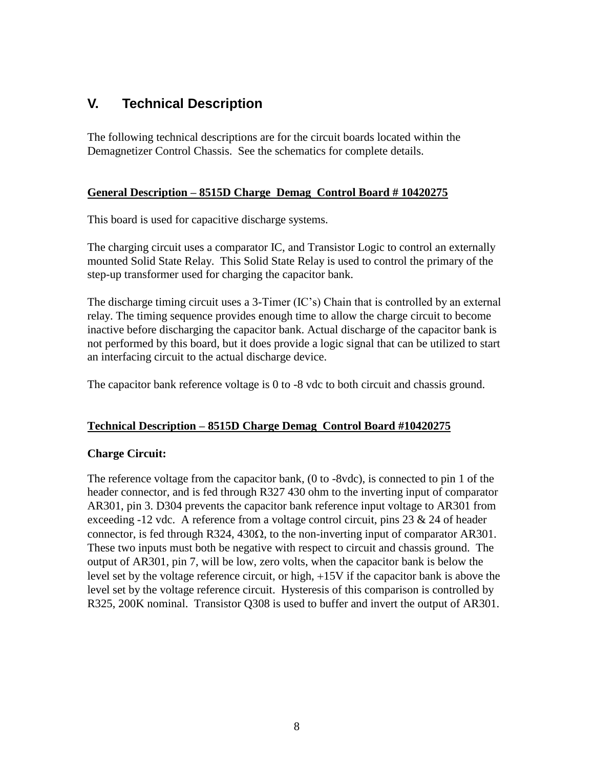# **V. Technical Description**

The following technical descriptions are for the circuit boards located within the Demagnetizer Control Chassis. See the schematics for complete details.

### **General Description – 8515D Charge Demag Control Board # 10420275**

This board is used for capacitive discharge systems.

The charging circuit uses a comparator IC, and Transistor Logic to control an externally mounted Solid State Relay. This Solid State Relay is used to control the primary of the step-up transformer used for charging the capacitor bank.

The discharge timing circuit uses a 3-Timer (IC's) Chain that is controlled by an external relay. The timing sequence provides enough time to allow the charge circuit to become inactive before discharging the capacitor bank. Actual discharge of the capacitor bank is not performed by this board, but it does provide a logic signal that can be utilized to start an interfacing circuit to the actual discharge device.

The capacitor bank reference voltage is 0 to -8 vdc to both circuit and chassis ground.

## **Technical Description – 8515D Charge Demag Control Board #10420275**

## **Charge Circuit:**

The reference voltage from the capacitor bank, (0 to -8vdc), is connected to pin 1 of the header connector, and is fed through R327 430 ohm to the inverting input of comparator AR301, pin 3. D304 prevents the capacitor bank reference input voltage to AR301 from exceeding -12 vdc. A reference from a voltage control circuit, pins 23 & 24 of header connector, is fed through R324, 430 $\Omega$ , to the non-inverting input of comparator AR301. These two inputs must both be negative with respect to circuit and chassis ground. The output of AR301, pin 7, will be low, zero volts, when the capacitor bank is below the level set by the voltage reference circuit, or high, +15V if the capacitor bank is above the level set by the voltage reference circuit. Hysteresis of this comparison is controlled by R325, 200K nominal. Transistor Q308 is used to buffer and invert the output of AR301.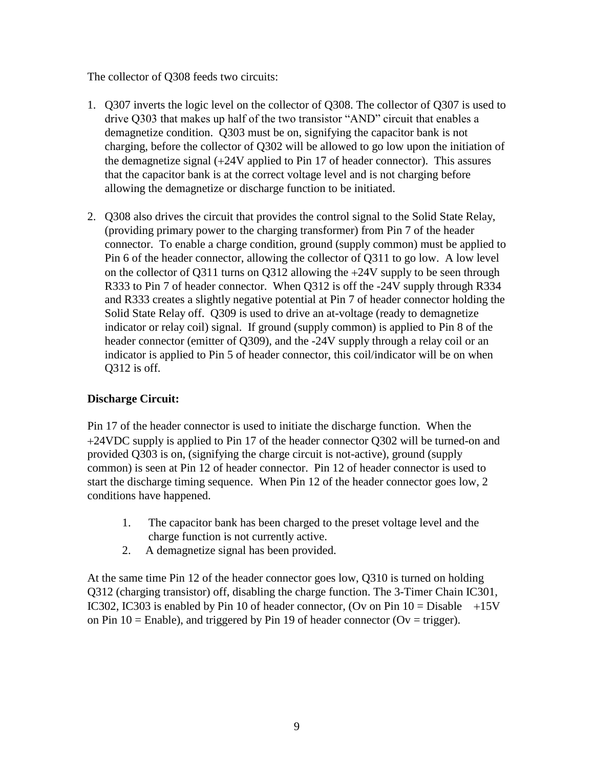The collector of Q308 feeds two circuits:

- 1. Q307 inverts the logic level on the collector of Q308. The collector of Q307 is used to drive Q303 that makes up half of the two transistor "AND" circuit that enables a demagnetize condition. Q303 must be on, signifying the capacitor bank is not charging, before the collector of Q302 will be allowed to go low upon the initiation of the demagnetize signal (+24V applied to Pin 17 of header connector). This assures that the capacitor bank is at the correct voltage level and is not charging before allowing the demagnetize or discharge function to be initiated.
- 2. Q308 also drives the circuit that provides the control signal to the Solid State Relay, (providing primary power to the charging transformer) from Pin 7 of the header connector. To enable a charge condition, ground (supply common) must be applied to Pin 6 of the header connector, allowing the collector of Q311 to go low. A low level on the collector of Q311 turns on Q312 allowing the +24V supply to be seen through R333 to Pin 7 of header connector. When Q312 is off the -24V supply through R334 and R333 creates a slightly negative potential at Pin 7 of header connector holding the Solid State Relay off. Q309 is used to drive an at-voltage (ready to demagnetize indicator or relay coil) signal. If ground (supply common) is applied to Pin 8 of the header connector (emitter of Q309), and the -24V supply through a relay coil or an indicator is applied to Pin 5 of header connector, this coil/indicator will be on when Q312 is off.

## **Discharge Circuit:**

Pin 17 of the header connector is used to initiate the discharge function. When the +24VDC supply is applied to Pin 17 of the header connector Q302 will be turned-on and provided Q303 is on, (signifying the charge circuit is not-active), ground (supply common) is seen at Pin 12 of header connector. Pin 12 of header connector is used to start the discharge timing sequence. When Pin 12 of the header connector goes low, 2 conditions have happened.

- 1. The capacitor bank has been charged to the preset voltage level and the charge function is not currently active.
- 2. A demagnetize signal has been provided.

At the same time Pin 12 of the header connector goes low, Q310 is turned on holding Q312 (charging transistor) off, disabling the charge function. The 3-Timer Chain IC301, IC302, IC303 is enabled by Pin 10 of header connector, (Ov on Pin  $10 = \text{Disable} +15\text{V}$ on Pin  $10 =$  Enable), and triggered by Pin 19 of header connector (Ov = trigger).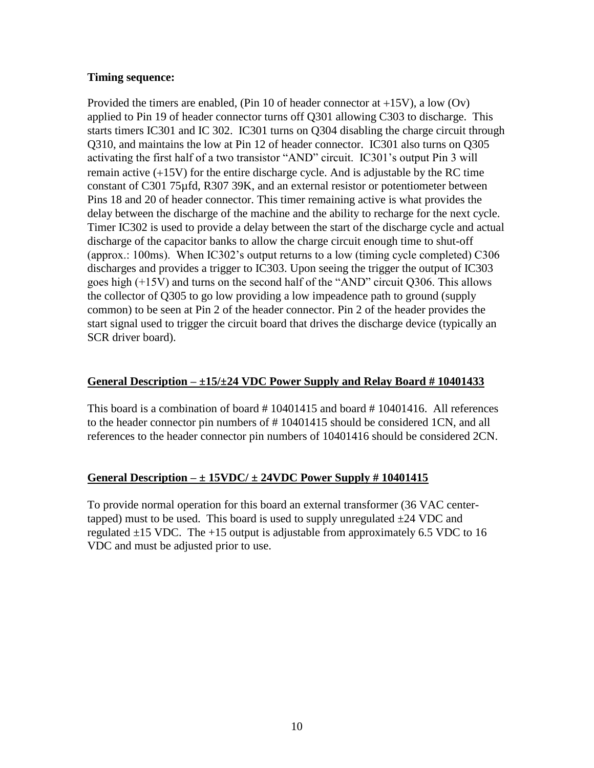#### **Timing sequence:**

Provided the timers are enabled, (Pin 10 of header connector at  $+15V$ ), a low (Ov) applied to Pin 19 of header connector turns off Q301 allowing C303 to discharge. This starts timers IC301 and IC 302. IC301 turns on Q304 disabling the charge circuit through Q310, and maintains the low at Pin 12 of header connector. IC301 also turns on Q305 activating the first half of a two transistor "AND" circuit. IC301's output Pin 3 will remain active (+15V) for the entire discharge cycle. And is adjustable by the RC time constant of C301 75µfd, R307 39K, and an external resistor or potentiometer between Pins 18 and 20 of header connector. This timer remaining active is what provides the delay between the discharge of the machine and the ability to recharge for the next cycle. Timer IC302 is used to provide a delay between the start of the discharge cycle and actual discharge of the capacitor banks to allow the charge circuit enough time to shut-off (approx.: 100ms). When IC302's output returns to a low (timing cycle completed) C306 discharges and provides a trigger to IC303. Upon seeing the trigger the output of IC303 goes high (+15V) and turns on the second half of the "AND" circuit Q306. This allows the collector of Q305 to go low providing a low impeadence path to ground (supply common) to be seen at Pin 2 of the header connector. Pin 2 of the header provides the start signal used to trigger the circuit board that drives the discharge device (typically an SCR driver board).

### **General Description – ±15/±24 VDC Power Supply and Relay Board # 10401433**

This board is a combination of board # 10401415 and board # 10401416. All references to the header connector pin numbers of # 10401415 should be considered 1CN, and all references to the header connector pin numbers of 10401416 should be considered 2CN.

### **General Description – ± 15VDC/ ± 24VDC Power Supply # 10401415**

To provide normal operation for this board an external transformer (36 VAC centertapped) must to be used. This board is used to supply unregulated  $\pm 24$  VDC and regulated  $\pm 15$  VDC. The  $+15$  output is adjustable from approximately 6.5 VDC to 16 VDC and must be adjusted prior to use.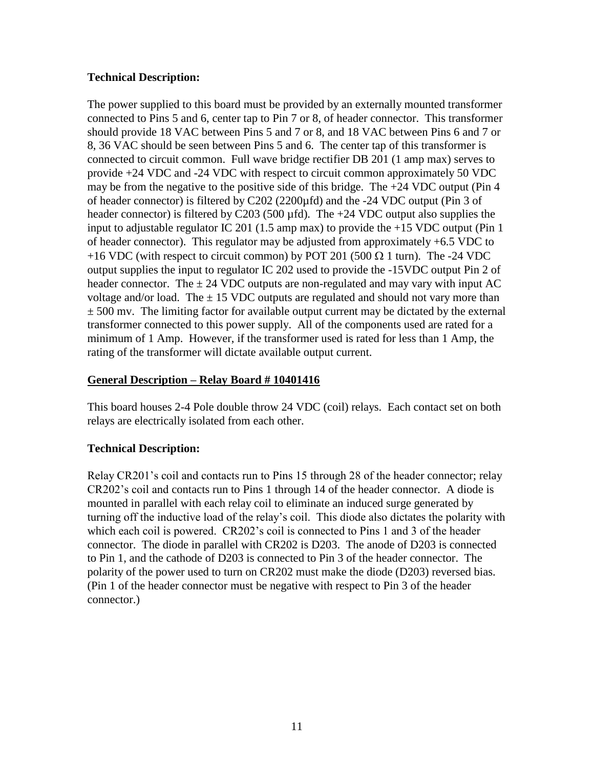### **Technical Description:**

The power supplied to this board must be provided by an externally mounted transformer connected to Pins 5 and 6, center tap to Pin 7 or 8, of header connector. This transformer should provide 18 VAC between Pins 5 and 7 or 8, and 18 VAC between Pins 6 and 7 or 8, 36 VAC should be seen between Pins 5 and 6. The center tap of this transformer is connected to circuit common. Full wave bridge rectifier DB 201 (1 amp max) serves to provide +24 VDC and -24 VDC with respect to circuit common approximately 50 VDC may be from the negative to the positive side of this bridge. The  $+24$  VDC output (Pin 4 of header connector) is filtered by C202 (2200µfd) and the -24 VDC output (Pin 3 of header connector) is filtered by C203 (500  $\mu$ fd). The +24 VDC output also supplies the input to adjustable regulator IC 201 (1.5 amp max) to provide the +15 VDC output (Pin 1 of header connector). This regulator may be adjusted from approximately +6.5 VDC to +16 VDC (with respect to circuit common) by POT 201 (500  $\Omega$  1 turn). The -24 VDC output supplies the input to regulator IC 202 used to provide the -15VDC output Pin 2 of header connector. The  $\pm$  24 VDC outputs are non-regulated and may vary with input AC voltage and/or load. The  $\pm$  15 VDC outputs are regulated and should not vary more than  $\pm$  500 mv. The limiting factor for available output current may be dictated by the external transformer connected to this power supply. All of the components used are rated for a minimum of 1 Amp. However, if the transformer used is rated for less than 1 Amp, the rating of the transformer will dictate available output current.

#### **General Description – Relay Board # 10401416**

This board houses 2-4 Pole double throw 24 VDC (coil) relays. Each contact set on both relays are electrically isolated from each other.

### **Technical Description:**

Relay CR201's coil and contacts run to Pins 15 through 28 of the header connector; relay CR202's coil and contacts run to Pins 1 through 14 of the header connector. A diode is mounted in parallel with each relay coil to eliminate an induced surge generated by turning off the inductive load of the relay's coil. This diode also dictates the polarity with which each coil is powered. CR202's coil is connected to Pins 1 and 3 of the header connector. The diode in parallel with CR202 is D203. The anode of D203 is connected to Pin 1, and the cathode of D203 is connected to Pin 3 of the header connector. The polarity of the power used to turn on CR202 must make the diode (D203) reversed bias. (Pin 1 of the header connector must be negative with respect to Pin 3 of the header connector.)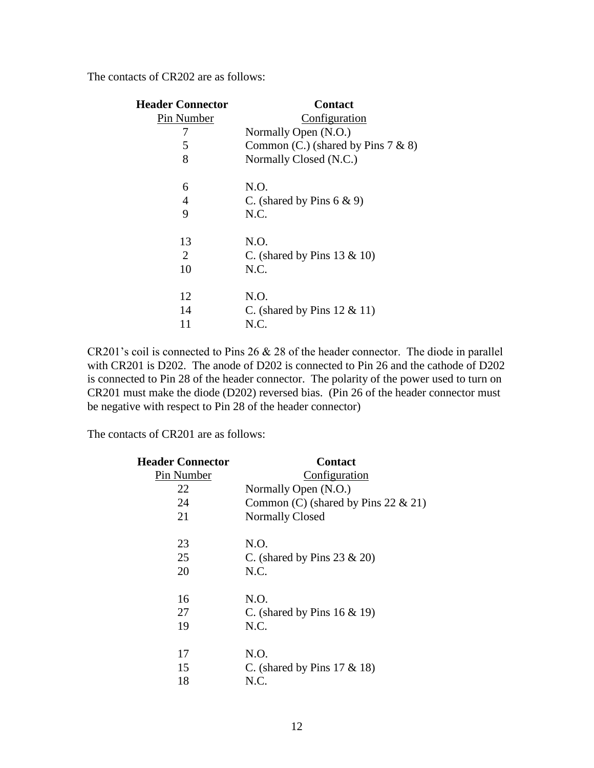The contacts of CR202 are as follows:

| <b>Header Connector</b> | <b>Contact</b>                        |  |  |
|-------------------------|---------------------------------------|--|--|
| Pin Number              | Configuration                         |  |  |
| 7                       | Normally Open (N.O.)                  |  |  |
| 5                       | Common (C.) (shared by Pins $7 & 8$ ) |  |  |
| 8                       | Normally Closed (N.C.)                |  |  |
| 6                       | N.O.                                  |  |  |
| 4                       | C. (shared by Pins $6 \& 9$ )         |  |  |
| 9                       | N.C.                                  |  |  |
| 13                      | N.O.                                  |  |  |
| 2                       | C. (shared by Pins $13 \& 10$ )       |  |  |
| 10                      | N.C.                                  |  |  |
| 12                      | N.O.                                  |  |  |
| 14                      | C. (shared by Pins $12 \& 11$ )       |  |  |
| 11                      | N.C.                                  |  |  |

CR201's coil is connected to Pins 26 & 28 of the header connector. The diode in parallel with CR201 is D202. The anode of D202 is connected to Pin 26 and the cathode of D202 is connected to Pin 28 of the header connector. The polarity of the power used to turn on CR201 must make the diode (D202) reversed bias. (Pin 26 of the header connector must be negative with respect to Pin 28 of the header connector)

The contacts of CR201 are as follows:

| <b>Header Connector</b> | <b>Contact</b>                         |  |  |
|-------------------------|----------------------------------------|--|--|
| Pin Number              | Configuration                          |  |  |
| 22                      | Normally Open (N.O.)                   |  |  |
| 24                      | Common (C) (shared by Pins 22 $& 21$ ) |  |  |
| 21                      | <b>Normally Closed</b>                 |  |  |
| 23                      | N.O.                                   |  |  |
| 25                      | C. (shared by Pins $23 \& 20$ )        |  |  |
| 20                      | N.C.                                   |  |  |
| 16                      | N.O.                                   |  |  |
| 27                      | C. (shared by Pins $16 \& 19$ )        |  |  |
| 19                      | N.C.                                   |  |  |
| 17                      | N.O.                                   |  |  |
| 15                      | C. (shared by Pins $17 \& 18$ )        |  |  |
| 18                      | N.C.                                   |  |  |
|                         |                                        |  |  |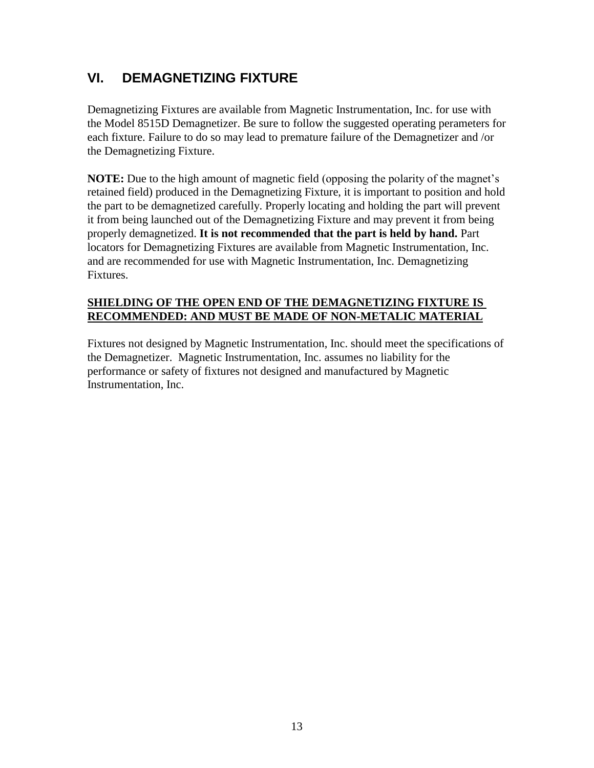# **VI. DEMAGNETIZING FIXTURE**

Demagnetizing Fixtures are available from Magnetic Instrumentation, Inc. for use with the Model 8515D Demagnetizer. Be sure to follow the suggested operating perameters for each fixture. Failure to do so may lead to premature failure of the Demagnetizer and /or the Demagnetizing Fixture.

**NOTE:** Due to the high amount of magnetic field (opposing the polarity of the magnet's retained field) produced in the Demagnetizing Fixture, it is important to position and hold the part to be demagnetized carefully. Properly locating and holding the part will prevent it from being launched out of the Demagnetizing Fixture and may prevent it from being properly demagnetized. **It is not recommended that the part is held by hand.** Part locators for Demagnetizing Fixtures are available from Magnetic Instrumentation, Inc. and are recommended for use with Magnetic Instrumentation, Inc. Demagnetizing **Fixtures** 

### **SHIELDING OF THE OPEN END OF THE DEMAGNETIZING FIXTURE IS RECOMMENDED: AND MUST BE MADE OF NON-METALIC MATERIAL**

Fixtures not designed by Magnetic Instrumentation, Inc. should meet the specifications of the Demagnetizer. Magnetic Instrumentation, Inc. assumes no liability for the performance or safety of fixtures not designed and manufactured by Magnetic Instrumentation, Inc.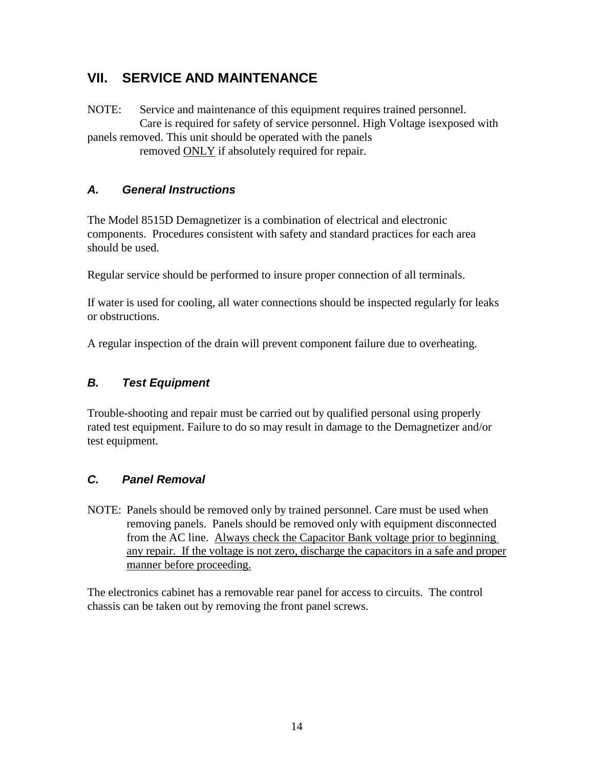# **VII. SERVICE AND MAINTENANCE**

NOTE: Service and maintenance of this equipment requires trained personnel. Care is required for safety of service personnel. High Voltage isexposed with panels removed. This unit should be operated with the panels removed ONLY if absolutely required for repair.

## *A. General Instructions*

The Model 8515D Demagnetizer is a combination of electrical and electronic components. Procedures consistent with safety and standard practices for each area should be used.

Regular service should be performed to insure proper connection of all terminals.

If water is used for cooling, all water connections should be inspected regularly for leaks or obstructions.

A regular inspection of the drain will prevent component failure due to overheating.

## *B. Test Equipment*

Trouble-shooting and repair must be carried out by qualified personal using properly rated test equipment. Failure to do so may result in damage to the Demagnetizer and/or test equipment.

## *C. Panel Removal*

NOTE: Panels should be removed only by trained personnel. Care must be used when removing panels. Panels should be removed only with equipment disconnected from the AC line. Always check the Capacitor Bank voltage prior to beginning any repair. If the voltage is not zero, discharge the capacitors in a safe and proper manner before proceeding.

The electronics cabinet has a removable rear panel for access to circuits. The control chassis can be taken out by removing the front panel screws.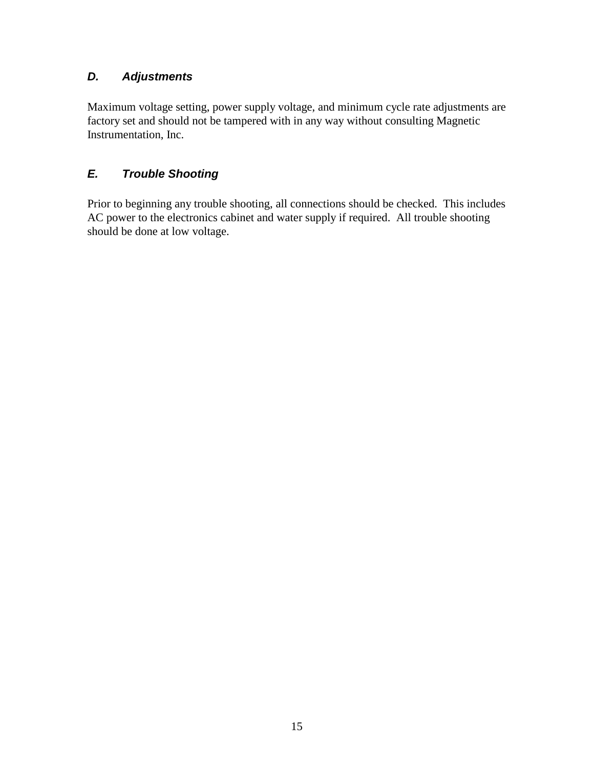## *D. Adjustments*

Maximum voltage setting, power supply voltage, and minimum cycle rate adjustments are factory set and should not be tampered with in any way without consulting Magnetic Instrumentation, Inc.

## *E. Trouble Shooting*

Prior to beginning any trouble shooting, all connections should be checked. This includes AC power to the electronics cabinet and water supply if required. All trouble shooting should be done at low voltage.